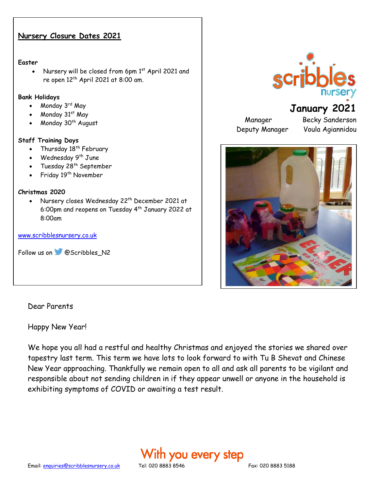#### **Nursery Closure Dates 2021**

#### **Easter**

Nursery will be closed from 6pm 1st April 2021 and re open  $12<sup>th</sup>$  April 2021 at 8:00 am.

#### **Bank Holidays**

- Monday 3rd May
- Monday 31st May
- Monday 30<sup>th</sup> August

#### **Staff Training Days**

- Thursday  $18<sup>th</sup>$  February
- Wednesday 9<sup>th</sup> June
- Tuesday  $28^{th}$  September
- Friday 19<sup>th</sup> November

#### **Christmas 2020**

• Nursery closes Wednesday 22<sup>th</sup> December 2021 at 6:00pm and reopens on Tuesday 4th January 2022 at 8:00am

#### [www.scribblesnursery.co.uk](http://www.scribblesnursery.co.uk/)

Follow us on **@Scribbles\_N2** 

#### Dear Parents

Happy New Year!

We hope you all had a restful and healthy Christmas and enjoyed the stories we shared over tapestry last term. This term we have lots to look forward to with Tu B Shevat and Chinese New Year approaching. Thankfully we remain open to all and ask all parents to be vigilant and responsible about not sending children in if they appear unwell or anyone in the household is exhibiting symptoms of COVID or awaiting a test result.





# **January 2021**

Deputy Manager Voula Agiannidou

Manager Becky Sanderson

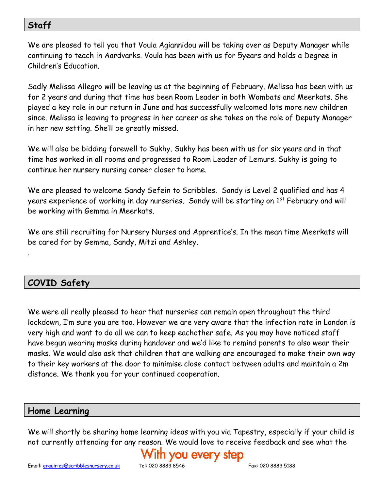## **Staff**

We are pleased to tell you that Voula Agiannidou will be taking over as Deputy Manager while continuing to teach in Aardvarks. Voula has been with us for 5years and holds a Degree in Children's Education.

Sadly Melissa Allegro will be leaving us at the beginning of February. Melissa has been with us for 2 years and during that time has been Room Leader in both Wombats and Meerkats. She played a key role in our return in June and has successfully welcomed lots more new children since. Melissa is leaving to progress in her career as she takes on the role of Deputy Manager in her new setting. She'll be greatly missed.

We will also be bidding farewell to Sukhy. Sukhy has been with us for six years and in that time has worked in all rooms and progressed to Room Leader of Lemurs. Sukhy is going to continue her nursery nursing career closer to home.

We are pleased to welcome Sandy Sefein to Scribbles. Sandy is Level 2 qualified and has 4 years experience of working in day nurseries. Sandy will be starting on 1<sup>st</sup> February and will be working with Gemma in Meerkats.

We are still recruiting for Nursery Nurses and Apprentice's. In the mean time Meerkats will be cared for by Gemma, Sandy, Mitzi and Ashley.

## **COVID Safety**

.

We were all really pleased to hear that nurseries can remain open throughout the third lockdown, I'm sure you are too. However we are very aware that the infection rate in London is very high and want to do all we can to keep eachother safe. As you may have noticed staff have begun wearing masks during handover and we'd like to remind parents to also wear their masks. We would also ask that children that are walking are encouraged to make their own way to their key workers at the door to minimise close contact between adults and maintain a 2m distance. We thank you for your continued cooperation.

### **Home Learning**

We will shortly be sharing home learning ideas with you via Tapestry, especially if your child is not currently attending for any reason. We would love to receive feedback and see what the

# h you every step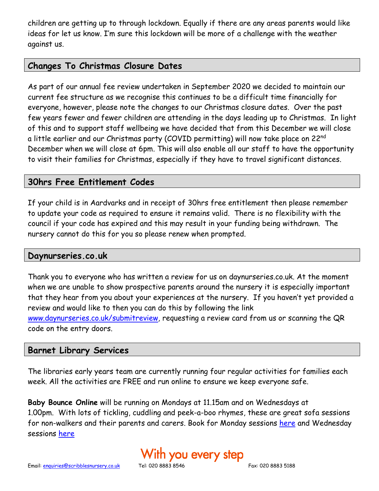children are getting up to through lockdown. Equally if there are any areas parents would like ideas for let us know. I'm sure this lockdown will be more of a challenge with the weather against us.

### **Changes To Christmas Closure Dates**

As part of our annual fee review undertaken in September 2020 we decided to maintain our current fee structure as we recognise this continues to be a difficult time financially for everyone, however, please note the changes to our Christmas closure dates. Over the past few years fewer and fewer children are attending in the days leading up to Christmas. In light of this and to support staff wellbeing we have decided that from this December we will close a little earlier and our Christmas party (COVID permitting) will now take place on 22<sup>nd</sup> December when we will close at 6pm. This will also enable all our staff to have the opportunity to visit their families for Christmas, especially if they have to travel significant distances.

### **30hrs Free Entitlement Codes**

If your child is in Aardvarks and in receipt of 30hrs free entitlement then please remember to update your code as required to ensure it remains valid. There is no flexibility with the council if your code has expired and this may result in your funding being withdrawn. The nursery cannot do this for you so please renew when prompted.

#### **Daynurseries.co.uk**

Thank you to everyone who has written a review for us on daynurseries.co.uk. At the moment when we are unable to show prospective parents around the nursery it is especially important that they hear from you about your experiences at the nursery. If you haven't yet provided a review and would like to then you can do this by following the link *www.*[daynurseries.co.uk/submitreview](http://www.daynurseries.co.uk/submitreview)*,* requesting a review card from us or scanning the QR code on the entry doors.

#### **Barnet Library Services**

The libraries early years team are currently running four regular activities for families each week. All the activities are FREE and run online to ensure we keep everyone safe.

**Baby Bounce Online** will be running on Mondays at 11.15am and on Wednesdays at 1.00pm. With lots of tickling, cuddling and peek-a-boo rhymes, these are great sofa sessions for non-walkers and their parents and carers. Book for Monday sessions [here](https://www.eventbrite.co.uk/e/132412504365) and Wednesday sessions [here](https://www.eventbrite.co.uk/e/133204984695)

# ith you every step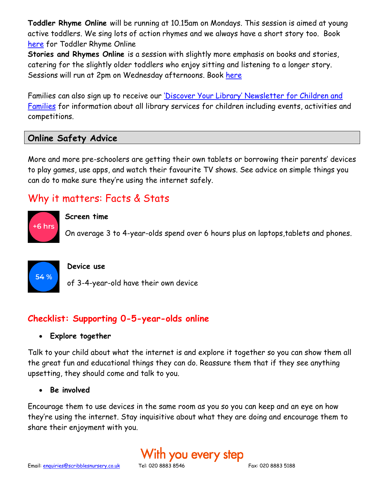**Toddler Rhyme Online** will be running at 10.15am on Mondays. This session is aimed at young active toddlers. We sing lots of action rhymes and we always have a short story too. Book [here](https://www.eventbrite.co.uk/e/133203700855) for Toddler Rhyme Online

**Stories and Rhymes Online** is a session with slightly more emphasis on books and stories, catering for the slightly older toddlers who enjoy sitting and listening to a longer story. Sessions will run at 2pm on Wednesday afternoons. Book [here](https://www.eventbrite.co.uk/e/132414542461)

Families can also sign up to receive our ['Discover Your Library' Newsletter for Children and](https://confirmsubscription.com/h/d/A7D92DE4086ACF64)  [Families](https://confirmsubscription.com/h/d/A7D92DE4086ACF64) for information about all library services for children including events, activities and competitions.

### **Online Safety Advice**

More and more pre-schoolers are getting their own tablets or borrowing their parents' devices to play games, use apps, and watch their favourite TV shows. See advice on simple things you can do to make sure they're using the internet safely.

# Why it matters: Facts & Stats



#### **Screen time**

On average 3 to 4-year-olds spend over 6 hours plus on laptops,tablets and phones.



#### **Device use**

of 3-4-year-old have their own device

## **Checklist: Supporting 0-5-year-olds online**

#### • **Explore together**

Talk to your child about what the internet is and explore it together so you can show them all the great fun and educational things they can do. Reassure them that if they see anything upsetting, they should come and talk to you.

#### • **Be involved**

Encourage them to use devices in the same room as you so you can keep and an eye on how they're using the internet. Stay inquisitive about what they are doing and encourage them to share their enjoyment with you.

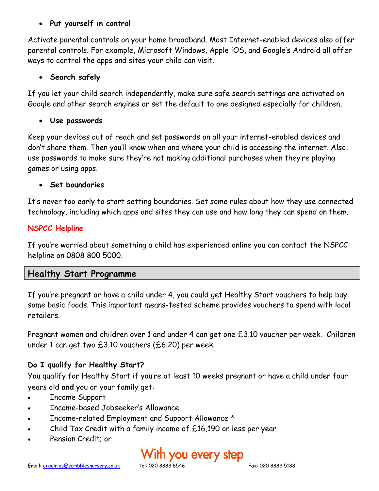### • **Put yourself in control**

Activate parental controls on your home broadband. Most Internet-enabled devices also offer parental controls. For example, Microsoft Windows, Apple iOS, and Google's Android all offer ways to control the apps and sites your child can visit.

#### • **Search safely**

If you let your child search independently, make sure safe search settings are activated on Google and other search engines or set the default to one designed especially for children.

#### • **Use passwords**

Keep your devices out of reach and set passwords on all your internet-enabled devices and don't share them. Then you'll know when and where your child is accessing the internet. Also, use passwords to make sure they're not making additional purchases when they're playing games or using apps.

#### • **Set boundaries**

It's never too early to start setting boundaries. Set some rules about how they use connected technology, including which apps and sites they can use and how long they can spend on them.

### **NSPCC Helpline**

If you're worried about something a child has experienced online you can contact the NSPCC helpline on 0808 800 5000.

### **Healthy Start Programme**

If you're pregnant or have a child under 4, you could get Healthy Start vouchers to help buy some basic foods. This important means-tested scheme provides vouchers to spend with local retailers.

Pregnant women and children over 1 and under 4 can get one £3.10 voucher per week. Children under 1 can get two £3.10 vouchers (£6.20) per week.

### **Do I qualify for Healthy Start?**

You qualify for Healthy Start if you're at least 10 weeks pregnant or have a child under four years old **and** you or your family get:

- Income Support
- Income-based Jobseeker's Allowance
- Income-related Employment and Support Allowance \*
- Child Tax Credit with a family income of £16,190 or less per year
- Pension Credit; or

# ith you every step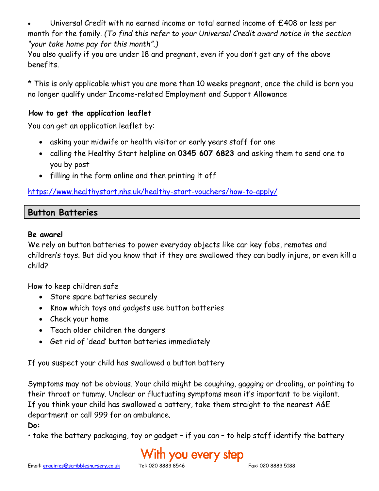• Universal Credit with no earned income or total earned income of £408 or less per month for the family. *(To find this refer to your Universal Credit award notice in the section "your take home pay for this month".)*

You also qualify if you are under 18 and pregnant, even if you don't get any of the above benefits.

\* This is only applicable whist you are more than 10 weeks pregnant, once the child is born you no longer qualify under Income-related Employment and Support Allowance

#### **How to get the application leaflet**

You can get an application leaflet by:

- asking your midwife or health visitor or early years staff for one
- calling the Healthy Start helpline on **0345 607 6823** and asking them to send one to you by post
- filling in the form online and then printing it off

<https://www.healthystart.nhs.uk/healthy-start-vouchers/how-to-apply/>

### **Button Batteries**

#### **Be aware!**

We rely on button batteries to power everyday objects like car key fobs, remotes and children's toys. But did you know that if they are swallowed they can badly injure, or even kill a child?

How to keep children safe

- Store spare batteries securely
- Know which toys and gadgets use button batteries
- Check your home
- Teach older children the dangers
- Get rid of 'dead' button batteries immediately

If you suspect your child has swallowed a button battery

Symptoms may not be obvious. Your child might be coughing, gagging or drooling, or pointing to their throat or tummy. Unclear or fluctuating symptoms mean it's important to be vigilant. If you think your child has swallowed a battery, take them straight to the nearest A&E department or call 999 for an ambulance.

**Do:**

• take the battery packaging, toy or gadget – if you can – to help staff identify the battery

# With you every step